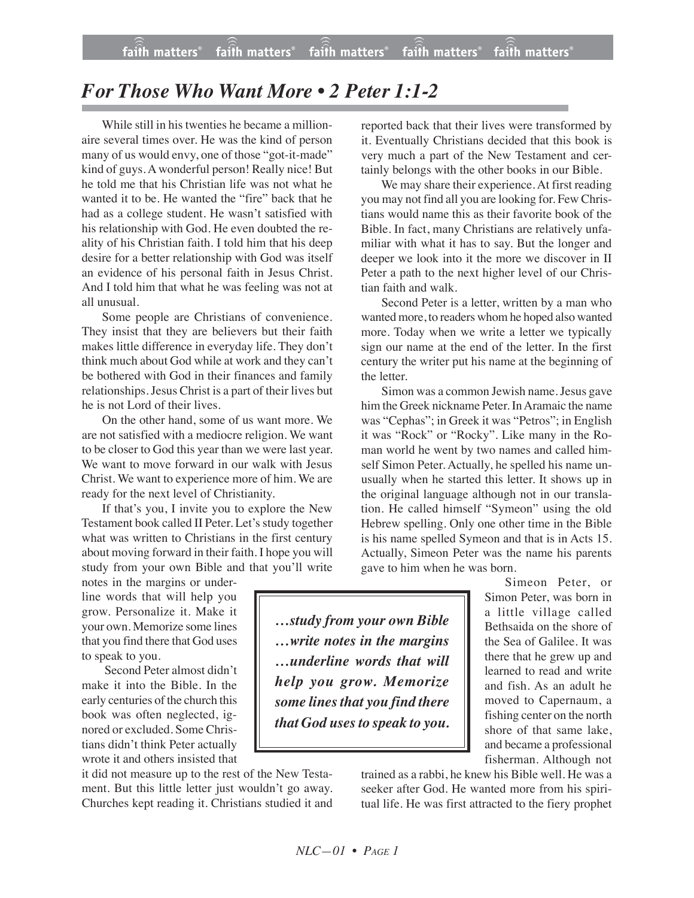## *For Those Who Want More • 2 Peter 1:1-2*

While still in his twenties he became a millionaire several times over. He was the kind of person many of us would envy, one of those "got-it-made" kind of guys. A wonderful person! Really nice! But he told me that his Christian life was not what he wanted it to be. He wanted the "fire" back that he had as a college student. He wasn't satisfied with his relationship with God. He even doubted the reality of his Christian faith. I told him that his deep desire for a better relationship with God was itself an evidence of his personal faith in Jesus Christ. And I told him that what he was feeling was not at all unusual.

Some people are Christians of convenience. They insist that they are believers but their faith makes little difference in everyday life. They don't think much about God while at work and they can't be bothered with God in their finances and family relationships. Jesus Christ is a part of their lives but he is not Lord of their lives.

On the other hand, some of us want more. We are not satisfied with a mediocre religion. We want to be closer to God this year than we were last year. We want to move forward in our walk with Jesus Christ. We want to experience more of him. We are ready for the next level of Christianity.

If that's you, I invite you to explore the New Testament book called II Peter. Let's study together what was written to Christians in the first century about moving forward in their faith. I hope you will study from your own Bible and that you'll write

notes in the margins or underline words that will help you grow. Personalize it. Make it your own. Memorize some lines that you find there that God uses to speak to you.

Second Peter almost didn't make it into the Bible. In the early centuries of the church this book was often neglected, ignored or excluded. Some Christians didn't think Peter actually wrote it and others insisted that

it did not measure up to the rest of the New Testament. But this little letter just wouldn't go away. Churches kept reading it. Christians studied it and

reported back that their lives were transformed by it. Eventually Christians decided that this book is very much a part of the New Testament and certainly belongs with the other books in our Bible.

We may share their experience. At first reading you may not find all you are looking for. Few Christians would name this as their favorite book of the Bible. In fact, many Christians are relatively unfamiliar with what it has to say. But the longer and deeper we look into it the more we discover in II Peter a path to the next higher level of our Christian faith and walk.

Second Peter is a letter, written by a man who wanted more, to readers whom he hoped also wanted more. Today when we write a letter we typically sign our name at the end of the letter. In the first century the writer put his name at the beginning of the letter.

Simon was a common Jewish name.Jesus gave him the Greek nickname Peter. In Aramaic the name was "Cephas"; in Greek it was "Petros"; in English it was "Rock" or "Rocky". Like many in the Roman world he went by two names and called himself Simon Peter. Actually, he spelled his name unusually when he started this letter. It shows up in the original language although not in our translation. He called himself "Symeon" using the old Hebrew spelling. Only one other time in the Bible is his name spelled Symeon and that is in Acts 15. Actually, Simeon Peter was the name his parents gave to him when he was born.

Simeon Peter, or Simon Peter, was born in a little village called Bethsaida on the shore of the Sea of Galilee. It was there that he grew up and learned to read and write and fish. As an adult he moved to Capernaum, a fishing center on the north shore of that same lake, and became a professional fisherman. Although not

trained as a rabbi, he knew his Bible well. He was a seeker after God. He wanted more from his spiritual life. He was first attracted to the fiery prophet

*…study from your own Bible …write notes in the margins …underline words that will help you grow. Memorize some lines that you find there that God usesto speak to you.*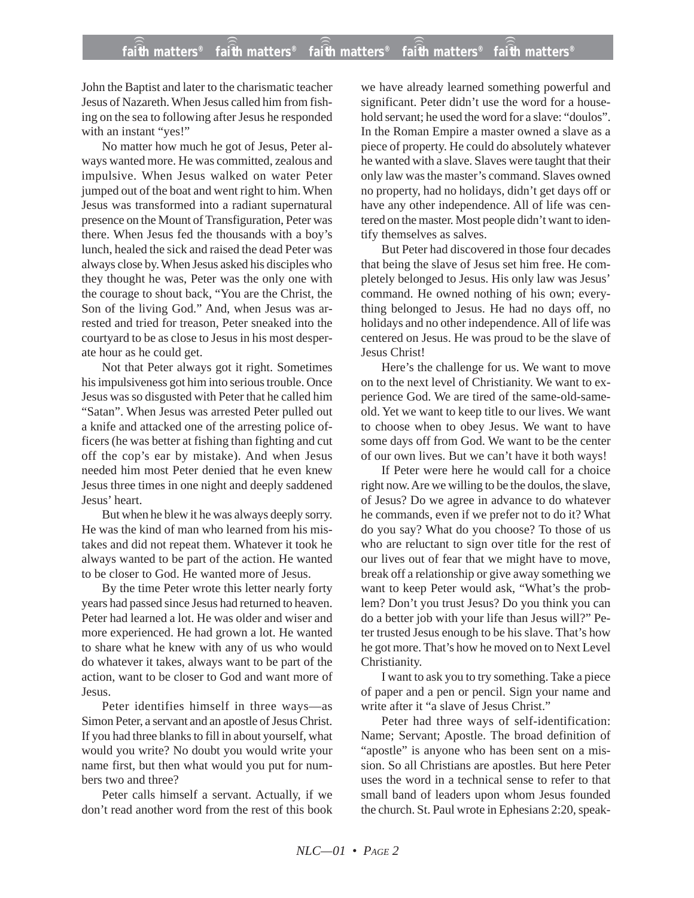John the Baptist and later to the charismatic teacher Jesus of Nazareth. When Jesus called him from fishing on the sea to following after Jesus he responded with an instant "yes!"

No matter how much he got of Jesus, Peter always wanted more. He was committed, zealous and impulsive. When Jesus walked on water Peter jumped out of the boat and went right to him. When Jesus was transformed into a radiant supernatural presence on the Mount of Transfiguration, Peter was there. When Jesus fed the thousands with a boy's lunch, healed the sick and raised the dead Peter was always close by. When Jesus asked his disciples who they thought he was, Peter was the only one with the courage to shout back, "You are the Christ, the Son of the living God." And, when Jesus was arrested and tried for treason, Peter sneaked into the courtyard to be as close to Jesus in his most desperate hour as he could get.

Not that Peter always got it right. Sometimes his impulsiveness got him into serious trouble. Once Jesus was so disgusted with Peter that he called him "Satan". When Jesus was arrested Peter pulled out a knife and attacked one of the arresting police officers (he was better at fishing than fighting and cut off the cop's ear by mistake). And when Jesus needed him most Peter denied that he even knew Jesus three times in one night and deeply saddened Jesus' heart.

But when he blew it he was always deeply sorry. He was the kind of man who learned from his mistakes and did not repeat them. Whatever it took he always wanted to be part of the action. He wanted to be closer to God. He wanted more of Jesus.

By the time Peter wrote this letter nearly forty years had passed since Jesus had returned to heaven. Peter had learned a lot. He was older and wiser and more experienced. He had grown a lot. He wanted to share what he knew with any of us who would do whatever it takes, always want to be part of the action, want to be closer to God and want more of Jesus.

Peter identifies himself in three ways—as Simon Peter, a servant and an apostle of Jesus Christ. If you had three blanks to fill in about yourself, what would you write? No doubt you would write your name first, but then what would you put for numbers two and three?

Peter calls himself a servant. Actually, if we don't read another word from the rest of this book

we have already learned something powerful and significant. Peter didn't use the word for a household servant; he used the word for a slave: "doulos". In the Roman Empire a master owned a slave as a piece of property. He could do absolutely whatever he wanted with a slave. Slaves were taught that their only law was the master's command. Slaves owned no property, had no holidays, didn't get days off or have any other independence. All of life was centered on the master. Most people didn't want to identify themselves as salves.

But Peter had discovered in those four decades that being the slave of Jesus set him free. He completely belonged to Jesus. His only law was Jesus' command. He owned nothing of his own; everything belonged to Jesus. He had no days off, no holidays and no other independence. All of life was centered on Jesus. He was proud to be the slave of Jesus Christ!

Here's the challenge for us. We want to move on to the next level of Christianity. We want to experience God. We are tired of the same-old-sameold. Yet we want to keep title to our lives. We want to choose when to obey Jesus. We want to have some days off from God. We want to be the center of our own lives. But we can't have it both ways!

If Peter were here he would call for a choice right now. Are we willing to be the doulos, the slave, of Jesus? Do we agree in advance to do whatever he commands, even if we prefer not to do it? What do you say? What do you choose? To those of us who are reluctant to sign over title for the rest of our lives out of fear that we might have to move, break off a relationship or give away something we want to keep Peter would ask, "What's the problem? Don't you trust Jesus? Do you think you can do a better job with your life than Jesus will?" Peter trusted Jesus enough to be his slave. That's how he got more. That's how he moved on to Next Level Christianity.

I want to ask you to try something. Take a piece of paper and a pen or pencil. Sign your name and write after it "a slave of Jesus Christ."

Peter had three ways of self-identification: Name; Servant; Apostle. The broad definition of "apostle" is anyone who has been sent on a mission. So all Christians are apostles. But here Peter uses the word in a technical sense to refer to that small band of leaders upon whom Jesus founded the church. St. Paul wrote in Ephesians 2:20, speak-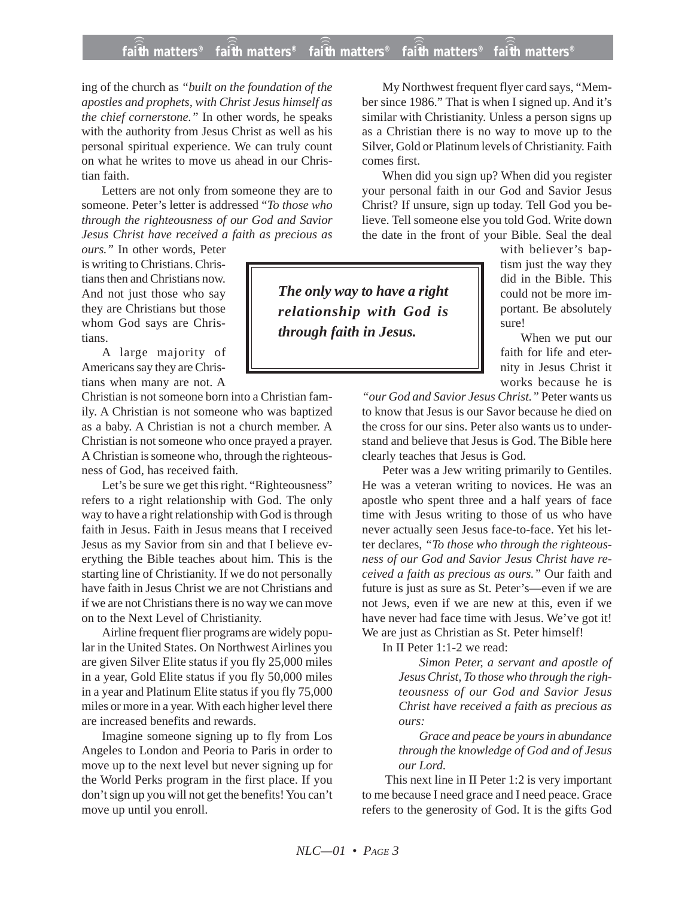## **faith matters® faith matters® faith matters® faith matters® faith matters®** ))) ))) ))) ))) )))

ing of the church as *"built on the foundation of the apostles and prophets, with Christ Jesus himself as the chief cornerstone."* In other words, he speaks with the authority from Jesus Christ as well as his personal spiritual experience. We can truly count on what he writes to move us ahead in our Christian faith.

Letters are not only from someone they are to someone. Peter's letter is addressed "*To those who through the righteousness of our God and Savior Jesus Christ have received a faith as precious as*

*ours."* In other words, Peter is writing to Christians. Christians then and Christians now. And not just those who say they are Christians but those whom God says are Christians.

A large majority of Americans say they are Christians when many are not. A

Christian is not someone born into a Christian family. A Christian is not someone who was baptized as a baby. A Christian is not a church member. A Christian is not someone who once prayed a prayer. A Christian is someone who, through the righteousness of God, has received faith.

Let's be sure we get this right. "Righteousness" refers to a right relationship with God. The only way to have a right relationship with God is through faith in Jesus. Faith in Jesus means that I received Jesus as my Savior from sin and that I believe everything the Bible teaches about him. This is the starting line of Christianity. If we do not personally have faith in Jesus Christ we are not Christians and if we are not Christians there is no way we can move on to the Next Level of Christianity.

Airline frequent flier programs are widely popular in the United States. On Northwest Airlines you are given Silver Elite status if you fly 25,000 miles in a year, Gold Elite status if you fly 50,000 miles in a year and Platinum Elite status if you fly 75,000 miles or more in a year. With each higher level there are increased benefits and rewards.

Imagine someone signing up to fly from Los Angeles to London and Peoria to Paris in order to move up to the next level but never signing up for the World Perks program in the first place. If you don't sign up you will not get the benefits! You can't move up until you enroll.

My Northwest frequent flyer card says, "Member since 1986." That is when I signed up. And it's similar with Christianity. Unless a person signs up as a Christian there is no way to move up to the Silver, Gold or Platinum levels of Christianity. Faith comes first.

When did you sign up? When did you register your personal faith in our God and Savior Jesus Christ? If unsure, sign up today. Tell God you believe. Tell someone else you told God. Write down the date in the front of your Bible. Seal the deal

*The only way to have a right relationship with God is through faith in Jesus.*

with believer's baptism just the way they did in the Bible. This could not be more important. Be absolutely sure!

When we put our faith for life and eternity in Jesus Christ it works because he is

*"our God and Savior Jesus Christ."* Peter wants us to know that Jesus is our Savor because he died on the cross for our sins. Peter also wants us to understand and believe that Jesus is God. The Bible here clearly teaches that Jesus is God.

Peter was a Jew writing primarily to Gentiles. He was a veteran writing to novices. He was an apostle who spent three and a half years of face time with Jesus writing to those of us who have never actually seen Jesus face-to-face. Yet his letter declares, *"To those who through the righteousness of our God and Savior Jesus Christ have received a faith as precious as ours."* Our faith and future is just as sure as St. Peter's—even if we are not Jews, even if we are new at this, even if we have never had face time with Jesus. We've got it! We are just as Christian as St. Peter himself!

In II Peter 1:1-2 we read:

*Simon Peter, a servant and apostle of Jesus Christ, To those who through the righteousness of our God and Savior Jesus Christ have received a faith as precious as ours:*

*Grace and peace be yours in abundance through the knowledge of God and of Jesus our Lord.*

This next line in II Peter 1:2 is very important to me because I need grace and I need peace. Grace refers to the generosity of God. It is the gifts God